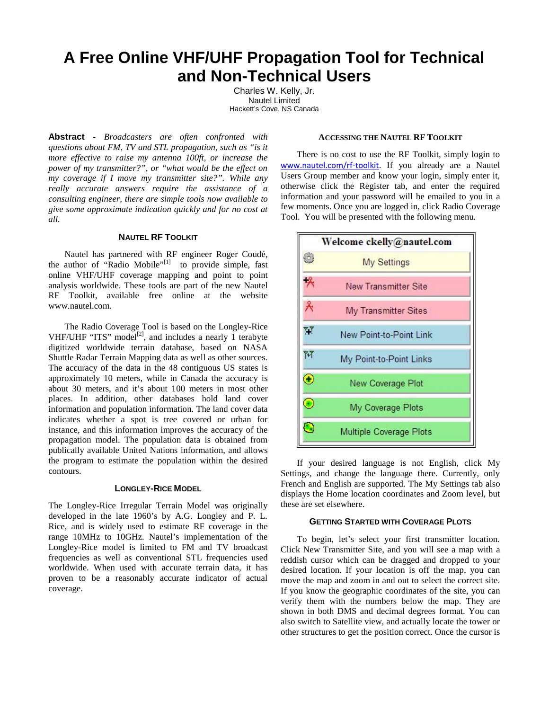# **A Free Online VHF/UHF Propagation Tool for Technical and Non-Technical Users**

Charles W. Kelly, Jr. Nautel Limited Hackett's Cove, NS Canada

**Abstract -** *Broadcasters are often confronted with questions about FM, TV and STL propagation, such as "is it more effective to raise my antenna 100ft, or increase the power of my transmitter?", or "what would be the effect on my coverage if I move my transmitter site?". While any really accurate answers require the assistance of a consulting engineer, there are simple tools now available to give some approximate indication quickly and for no cost at all.*

## **NAUTEL RF TOOLKIT**

Nautel has partnered with RF engineer Roger Coudé, the author of "Radio Mobile" $[1]$  to provide simple, fast online VHF/UHF coverage mapping and point to point analysis worldwide. These tools are part of the new Nautel RF Toolkit, available free online at the website www.nautel.com.

The Radio Coverage Tool is based on the Longley-Rice VHF/UHF "ITS" model<sup>[2]</sup>, and includes a nearly 1 terabyte digitized worldwide terrain database, based on NASA<br>Shuttle Radar Terrain Manning data as well as other sources Shuttle Radar Terrain Mapping data as well as other sources. The accuracy of the data in the 48 contiguous US states is approximately 10 meters, while in Canada the accuracy is about 30 meters, and it's about 100 meters in most other places. In addition, other databases hold land cover information and population information. The land cover data indicates whether a spot is tree covered or urban for instance, and this information improves the accuracy of the propagation model. The population data is obtained from publically available United Nations information, and allows the program to estimate the population within the desired contours.

## **LONGLEY-RICE MODEL**

The Longley-Rice Irregular Terrain Model was originally developed in the late 1960's by A.G. Longley and P. L. Rice, and is widely used to estimate RF coverage in the range 10MHz to 10GHz. Nautel's implementation of the Longley-Rice model is limited to FM and TV broadcast frequencies as well as conventional STL frequencies used worldwide. When used with accurate terrain data, it has proven to be a reasonably accurate indicator of actual coverage.

### **ACCESSING THE NAUTEL RF TOOLKIT**

There is no cost to use the RF Toolkit, simply login to www.nautel.com/rf-toolkit. If you already are a Nautel Users Group member and know your login, simply enter it, otherwise click the Register tab, and enter the required information and your password will be emailed to you in a few moments. Once you are logged in, click Radio Coverage Tool. You will be presented with the following menu.



If your desired language is not English, click My Settings, and change the language there. Currently, only French and English are supported. The My Settings tab also displays the Home location coordinates and Zoom level, but these are set elsewhere.

## **GETTING STARTED WITH COVERAGE PLOTS**

To begin, let's select your first transmitter location. Click New Transmitter Site, and you will see a map with a reddish cursor which can be dragged and dropped to your desired location. If your location is off the map, you can move the map and zoom in and out to select the correct site. If you know the geographic coordinates of the site, you can verify them with the numbers below the map. They are shown in both DMS and decimal degrees format. You can also switch to Satellite view, and actually locate the tower or other structures to get the position correct. Once the cursor is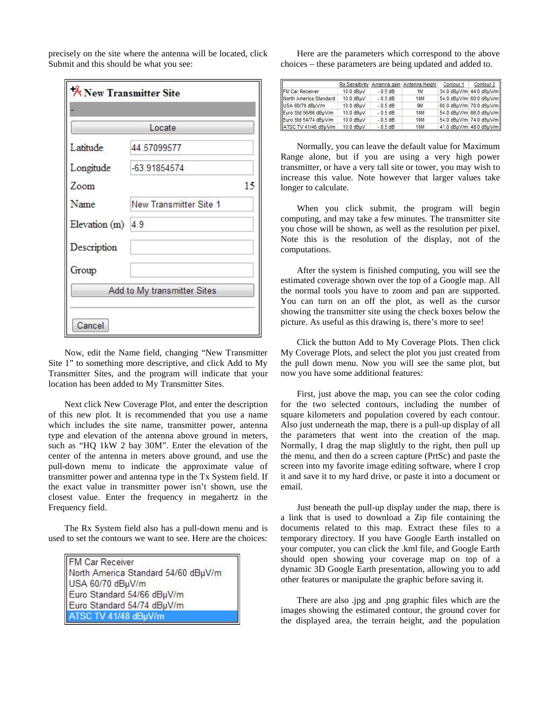|                   | Locate                      |    |  |
|-------------------|-----------------------------|----|--|
| Latitude          | 44.57099577                 |    |  |
| Longitude         | -63.91854574                |    |  |
| Zoom              |                             | 15 |  |
| Name              | New Transmitter Site 1      |    |  |
| Elevation (m) 4.9 |                             |    |  |
| Description       |                             |    |  |
| Group             |                             |    |  |
|                   | Add to My transmitter Sites |    |  |

precisely on the site where the antenna will be located, click Submit and this should be what you see:

Now, edit the Name field, changing "New Transmitter Site 1" to something more descriptive, and click Add to My Transmitter Sites, and the program will indicate that your location has been added to My Transmitter Sites.

Next click New Coverage Plot, and enter the description of this new plot. It is recommended that you use a name which includes the site name, transmitter power, antenna type and elevation of the antenna above ground in meters, such as "HQ 1kW 2 bay 30M". Enter the elevation of the center of the antenna in meters above ground, and use the pull-down menu to indicate the approximate value of transmitter power and antenna type in the Tx System field. If the exact value in transmitter power isn't shown, use the closest value. Enter the frequency in megahertz in the Frequency field.

The Rx System field also has a pull-down menu and is used to set the contours we want to see. Here are the choices:

| FM Car Receiver                     |  |
|-------------------------------------|--|
| North America Standard 54/60 dBµV/m |  |
| USA 60/70 dBµV/m                    |  |
| Euro Standard 54/66 dBµV/m          |  |
| Euro Standard 54/74 dBµV/m          |  |
| ATSC TV 41/48 dBµV/m                |  |

Here are the parameters which correspond to the above choices – these parameters are being updated and added to.

|                        | <b>Rx Sensitivity</b> | Antenna gain | Antenna Height | Contour 1               | Contour <sub>2</sub> |
|------------------------|-----------------------|--------------|----------------|-------------------------|----------------------|
| FM Car Receiver        | 10.0 dBuV             | $-0.5$ dB    | 1M             | 34.0 dBuV/m 44.0 dBuV/m |                      |
| North America Standard | 10.0 dBuV             | $-0.5$ dB    | <b>10M</b>     | 54.0 dBµV/m 60.0 dBµV/m |                      |
| USA 60/70 dBµV/m       | 10.0 dBuV             | $-0.5$ dB    | <b>9M</b>      | 60.0 dBµV/m 70.0 dBµV/m |                      |
| Euro Std 56/66 dBuV/m  | 10.0 dBuV             | $-0.5$ dB    | <b>10M</b>     | 54.0 dBµV/m 66.0 dBµV/m |                      |
| Euro Std 54/74 dBuV/m  | 10.0 dBuV             | $-0.5$ dB    | <b>10M</b>     | 54.0 dBuV/m 74.0 dBuV/m |                      |
| ATSC TV 41/48 dBuV/m   | 10.0 dBuV             | $-0.5$ dB    | <b>10M</b>     | 41.0 dBµV/m 48.0 dBµV/m |                      |

Normally, you can leave the default value for Maximum Range alone, but if you are using a very high power transmitter, or have a very tall site or tower, you may wish to increase this value. Note however that larger values take longer to calculate.

When you click submit, the program will begin computing, and may take a few minutes. The transmitter site you chose will be shown, as well as the resolution per pixel. Note this is the resolution of the display, not of the computations.

After the system is finished computing, you will see the estimated coverage shown over the top of a Google map. All the normal tools you have to zoom and pan are supported. You can turn on an off the plot, as well as the cursor showing the transmitter site using the check boxes below the picture. As useful as this drawing is, there's more to see!

Click the button Add to My Coverage Plots. Then click My Coverage Plots, and select the plot you just created from the pull down menu. Now you will see the same plot, but now you have some additional features:

First, just above the map, you can see the color coding for the two selected contours, including the number of square kilometers and population covered by each contour. Also just underneath the map, there is a pull-up display of all the parameters that went into the creation of the map. Normally, I drag the map slightly to the right, then pull up the menu, and then do a screen capture (PrtSc) and paste the screen into my favorite image editing software, where I crop it and save it to my hard drive, or paste it into a document or email.

Just beneath the pull-up display under the map, there is a link that is used to download a Zip file containing the documents related to this map. Extract these files to a temporary directory. If you have Google Earth installed on your computer, you can click the .kml file, and Google Earth should open showing your coverage map on top of a dynamic 3D Google Earth presentation, allowing you to add other features or manipulate the graphic before saving it.

There are also .jpg and .png graphic files which are the images showing the estimated contour, the ground cover for the displayed area, the terrain height, and the population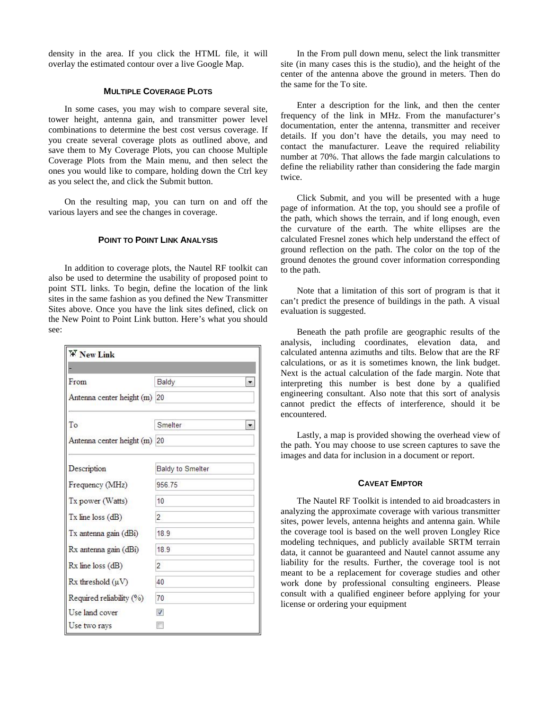density in the area. If you click the HTML file, it will overlay the estimated contour over a live Google Map.

#### **MULTIPLE COVERAGE PLOTS**

In some cases, you may wish to compare several site, tower height, antenna gain, and transmitter power level combinations to determine the best cost versus coverage. If you create several coverage plots as outlined above, and save them to My Coverage Plots, you can choose Multiple Coverage Plots from the Main menu, and then select the ones you would like to compare, holding down the Ctrl key as you select the, and click the Submit button.

On the resulting map, you can turn on and off the various layers and see the changes in coverage.

#### **POINT TO POINT LINK ANALYSIS**

In addition to coverage plots, the Nautel RF toolkit can also be used to determine the usability of proposed point to point STL links. To begin, define the location of the link sites in the same fashion as you defined the New Transmitter Sites above. Once you have the link sites defined, click on the New Point to Point Link button. Here's what you should see:

| <b>WY</b> New Link           |                  |
|------------------------------|------------------|
|                              |                  |
| From                         | Baldy            |
| Antenna center height (m) 20 |                  |
| To                           | Smelter          |
| Antenna center height (m) 20 |                  |
| Description                  | Baldy to Smelter |
| Frequency (MHz)              | 956.75           |
| Tx power (Watts)             | 10               |
| $Tx$ line loss $(dB)$        | $\overline{2}$   |
| Tx antenna gain (dBi)        | 189              |
| Rx antenna gain (dBi)        | 189              |
| Rx line loss (dB)            | $\overline{2}$   |
| $Rx$ threshold $(\mu V)$     | 40               |
| Required reliability (%)     | 70               |
| Use land cover               | $\overline{J}$   |
| Use two rays                 |                  |

In the From pull down menu, select the link transmitter site (in many cases this is the studio), and the height of the center of the antenna above the ground in meters. Then do the same for the To site.

Enter a description for the link, and then the center frequency of the link in MHz. From the manufacturer's documentation, enter the antenna, transmitter and receiver details. If you don't have the details, you may need to contact the manufacturer. Leave the required reliability number at 70%. That allows the fade margin calculations to define the reliability rather than considering the fade margin twice.

Click Submit, and you will be presented with a huge page of information. At the top, you should see a profile of the path, which shows the terrain, and if long enough, even the curvature of the earth. The white ellipses are the calculated Fresnel zones which help understand the effect of ground reflection on the path. The color on the top of the ground denotes the ground cover information corresponding to the path.

Note that a limitation of this sort of program is that it can't predict the presence of buildings in the path. A visual evaluation is suggested.

Beneath the path profile are geographic results of the analysis, including coordinates, elevation data, and calculated antenna azimuths and tilts. Below that are the RF calculations, or as it is sometimes known, the link budget. Next is the actual calculation of the fade margin. Note that interpreting this number is best done by a qualified engineering consultant. Also note that this sort of analysis cannot predict the effects of interference, should it be encountered.

Lastly, a map is provided showing the overhead view of the path. You may choose to use screen captures to save the images and data for inclusion in a document or report.

## **CAVEAT EMPTOR**

The Nautel RF Toolkit is intended to aid broadcasters in analyzing the approximate coverage with various transmitter sites, power levels, antenna heights and antenna gain. While the coverage tool is based on the well proven Longley Rice modeling techniques, and publicly available SRTM terrain data, it cannot be guaranteed and Nautel cannot assume any liability for the results. Further, the coverage tool is not meant to be a replacement for coverage studies and other work done by professional consulting engineers. Please consult with a qualified engineer before applying for your license or ordering your equipment